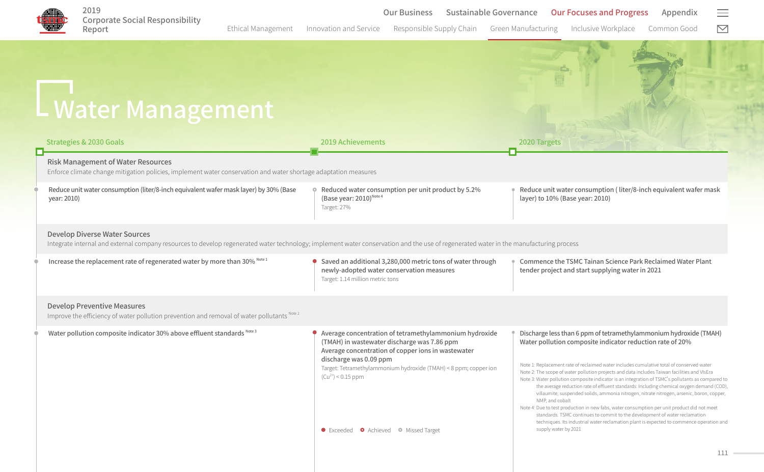

Ethical Management Innovation and Service Responsible Supply Chain Green Manufacturing Inclusive Workplace Common Good  $\boxdot$ 

Water Management Risk Management of Water Resources Enforce climate change mitigation policies, implement water conservation and water shortage adaptation measures Reduce unit water consumption (liter/8-inch equivalent wafer mask layer) by 30% (Base year: 2010) Reduced water consumption per unit product by 5.2% (Base year:  $2010$ )<sup>Note 4</sup> Target: 27% Reduce unit water consumption ( liter/8-inch equivalent wafer mask layer) to 10% (Base year: 2010) Develop Diverse Water Sources Integrate internal and external company resources to develop regenerated water technology; implement water conservation and the use of regenerated water in the manufacturing process Increase the replacement rate of regenerated water by more than 30% Note 1  $\bullet$  Saved an additional 3,280,000 metric tons of water through newly-adopted water conservation measures Target: 1.14 million metric tons Commence the TSMC Tainan Science Park Reclaimed Water Plant tender project and start supplying water in 2021 Develop Preventive Measures Improve the efficiency of water pollution prevention and removal of water pollutants Note 2 Water pollution composite indicator 30% above effluent standards Note 3 Average concentration of tetramethylammonium hydroxide (TMAH) in wastewater discharge was 7.86 ppm Average concentration of copper ions in wastewater discharge was 0.09 ppm Target: Tetramethylammonium hydroxide (TMAH) < 8 ppm; copper ion  $(Cu^{2+})$  < 0.15 ppm Discharge less than 6 ppm of tetramethylammonium hydroxide (TMAH) Water pollution composite indicator reduction rate of 20% **•** Exceeded **•** Achieved • Missed Target Strategies & 2030 Goals 2019 Achievements 2020 Targets Note 1: Replacement rate of reclaimed water includes cumulative total of conserved water Note 2: The scope of water pollution projects and data includes Taiwan facilities and VIsEra Note 3: Water pollution composite indicator is an integration of TSMC's pollutants as compared to the average reduction rate of effluent standards: Including chemical oxygen demand (COD), villaumite, suspended solids, ammonia nitrogen, nitrate nitrogen, arsenic, boron, copper, NMP, and cobalt Note 4: Due to test production in new fabs, water consumption per unit product did not meet standards. TSMC continues to commit to the development of water reclamation techniques. Its industrial water reclamation plant is expected to commence operation and supply water by 2021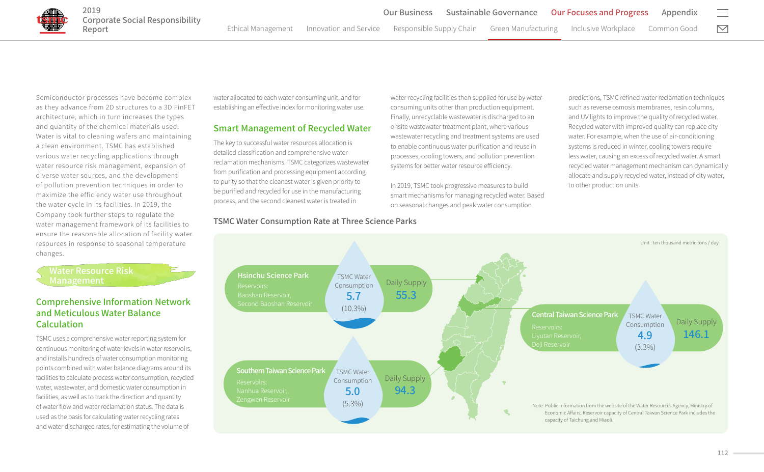Semiconductor processes have become complex as they advance from 2D structures to a 3D FinFET architecture, which in turn increases the types and quantity of the chemical materials used. Water is vital to cleaning wafers and maintaining a clean environment. TSMC has established various water recycling applications through water resource risk management, expansion of diverse water sources, and the development of pollution prevention techniques in order to maximize the efficiency water use throughout the water cycle in its facilities. In 2019, the Company took further steps to regulate the water management framework of its facilities to ensure the reasonable allocation of facility water resources in response to seasonal temperature changes.

Water Resource Risk

2019

# Comprehensive Information Network and Meticulous Water Balance Calculation

TSMC uses a comprehensive water reporting system for continuous monitoring of water levels in water reservoirs, and installs hundreds of water consumption monitoring points combined with water balance diagrams around its facilities to calculate process water consumption, recycled water, wastewater, and domestic water consumption in facilities, as well as to track the direction and quantity of water flow and water reclamation status. The data is used as the basis for calculating water recycling rates and water discharged rates, for estimating the volume of

water allocated to each water-consuming unit, and for establishing an effective index for monitoring water use.

## Smart Management of Recycled Water

The key to successful water resources allocation is detailed classification and comprehensive water reclamation mechanisms. TSMC categorizes wastewater from purification and processing equipment according to purity so that the cleanest water is given priority to be purified and recycled for use in the manufacturing process, and the second cleanest water is treated in

water recycling facilities then supplied for use by waterconsuming units other than production equipment. Finally, unrecyclable wastewater is discharged to an onsite wastewater treatment plant, where various wastewater recycling and treatment systems are used to enable continuous water purification and reuse in processes, cooling towers, and pollution prevention systems for better water resource efficiency.

In 2019, TSMC took progressive measures to build smart mechanisms for managing recycled water. Based on seasonal changes and peak water consumption

predictions, TSMC refined water reclamation techniques such as reverse osmosis membranes, resin columns, and UV lights to improve the quality of recycled water. Recycled water with improved quality can replace city water. For example, when the use of air-conditioning systems is reduced in winter, cooling towers require less water, causing an excess of recycled water. A smart recycled water management mechanism can dynamically allocate and supply recycled water, instead of city water, to other production units



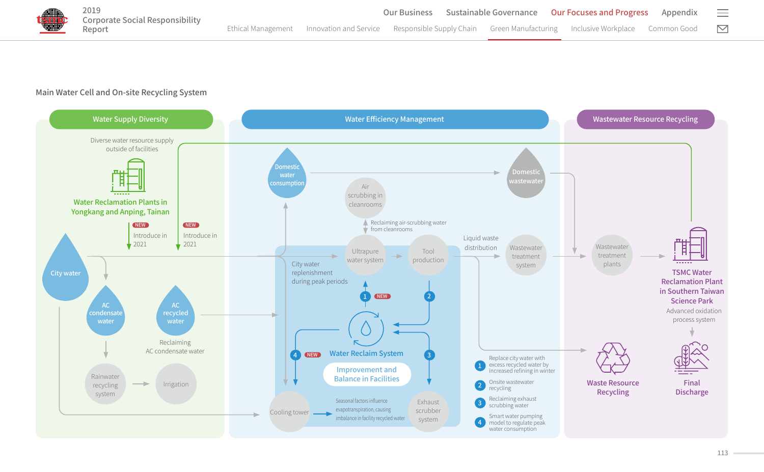

## Main Water Cell and On-site Recycling System

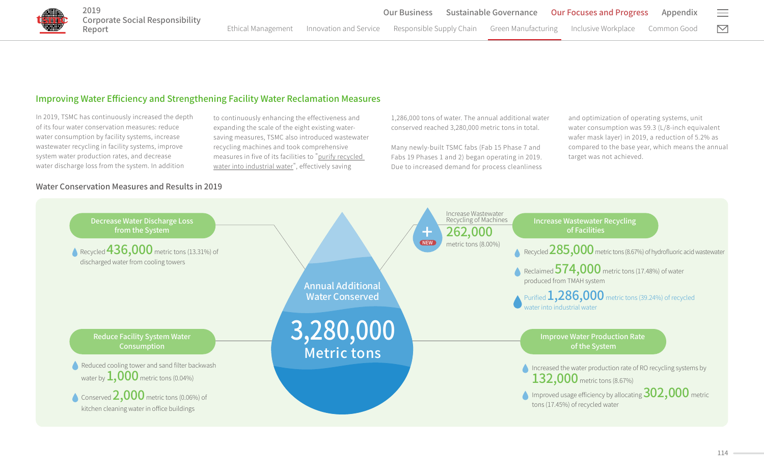

# Improving Water Efficiency and Strengthening Facility Water Reclamation Measures

In 2019, TSMC has continuously increased the depth of its four water conservation measures: reduce water consumption by facility systems, increase wastewater recycling in facility systems, improve system water production rates, and decrease water discharge loss from the system. In addition

Water Conservation Measures and Results in 2019

to continuously enhancing the effectiveness and expanding the scale of the eight existing watersaving measures, TSMC also introduced wastewater recycling machines and took comprehensive measures in five of its facilities to "purify recycled water into industrial water", effectively saving

1,286,000 tons of water. The annual additional water conserved reached 3,280,000 metric tons in total.

Many newly-built TSMC fabs (Fab 15 Phase 7 and Fabs 19 Phases 1 and 2) began operating in 2019. Due to increased demand for process cleanliness and optimization of operating systems, unit water consumption was 59.3 (L/8-inch equivalent wafer mask layer) in 2019, a reduction of 5.2% as compared to the base year, which means the annual target was not achieved.

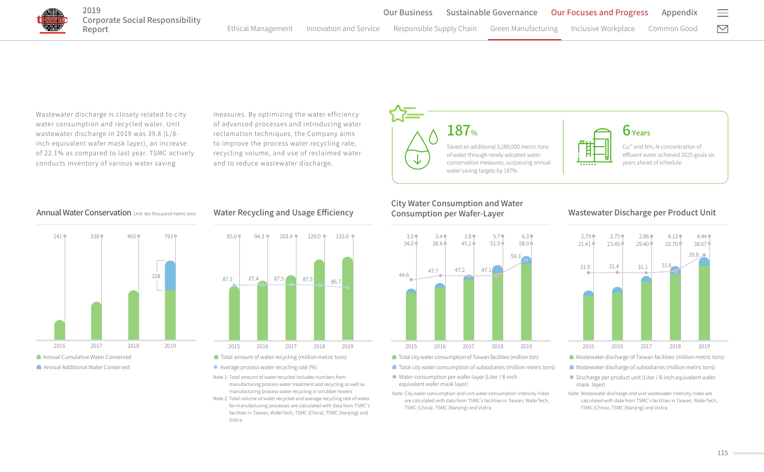$\boxdot$ 

Appendix

Wastewater discharge is closely related to city water consumption and recycled water. Unit wastewater discharge in 2019 was 39.8 (L/8 inch equivalent wafer mask layer), an increase of 22.1% as compared to last year. TSMC actively conducts inventory of various water saving

measures. By optimizing the water efficiency of advanced processes and introducing water reclamation techniques, the Company aims to improve the process water recycling rate, recycling volume, and use of reclaimed water and to reduce wastewater discharge.



#### **Annual Water Conservation** Unit: ten thousand metric tons



## Water Recycling and Usage Efficiency



- Total amount of water recycling (million metric tons)
- Average process water recycling rate (%)
- Note 1: Total amount of water recycled includes numbers from manufacturing process water treatment and recycling as well as manufacturing process water recycling in scrubber towers Note 2: Total volume of water recycled and average recycling rate of water
- for manufacturing processes are calculated with data from TSMC's facilities in Taiwan, WaferTech, TSMC (China), TSMC (Nanjing) and VisEra

### City Water Consumption and Water Consumption per Wafer-Layer



■ Total city water consumption of subsidiaries (million metric tons)

Note: City water consumption and unit water consumption intensity index are calculated with data from TSMC's facilities in Taiwan, WaferTech,

Water consumption per wafer-layer (Liter / 8-inch

TSMC (China), TSMC (Nanjing) and VisEra

equivalent wafer mask layer)

# Wastewater Discharge per Product Unit



- Wastewater discharge of Taiwan facilities (million metric tons)
- Wastewater discharge of subsidiaries (million metric tons)
- Discharge per product unit (Liter / 8-inch equivalent wafer mask layer)
- Note: Wastewater discharge and unit wastewater intensity index are calculated with data from TSMC�s facilities in Taiwan, WaferTech, TSMC (China), TSMC (Nanjing) and VisEra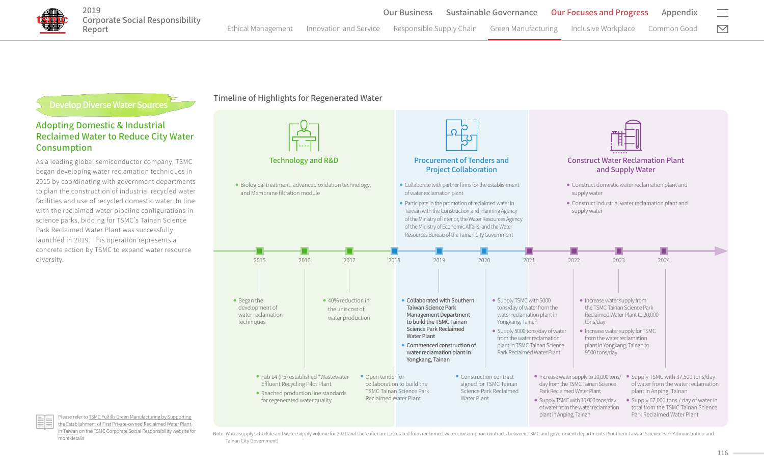

# Develop Diverse Water Sources

## Adopting Domestic & Industrial Reclaimed Water to Reduce City Water Consumption

As a leading global semiconductor company, TSMC began developing water reclamation techniques in 2015 by coordinating with government departments to plan the construction of industrial recycled water facilities and use of recycled domestic water. In line with the reclaimed water pipeline configurations in science parks, bidding for TSMC's Tainan Science Park Reclaimed Water Plant was successfully launched in 2019. This operation represents a concrete action by TSMC to expand water resource diversity.

Timeline of Highlights for Regenerated Water





Please refer to [TSMC Fulfills Green Manufacturing by Supporting](https://www.tsmc.com/csr/en/update/greenManufacturing/caseStudy/32/index.html)  [the Establishment of First Private-owned Reclaimed Water Plant](https://www.tsmc.com/csr/en/update/greenManufacturing/caseStudy/32/index.html)  [in Taiwan](https://www.tsmc.com/csr/en/update/greenManufacturing/caseStudy/32/index.html) on the TSMC Corporate Social Responsibility website for more details

Note: Water supply schedule and water supply volume for 2021 and thereafter are calculated from reclaimed water consumption contracts between TSMC and government departments (Southern Taiwan Science Park Administration and Tainan City Government)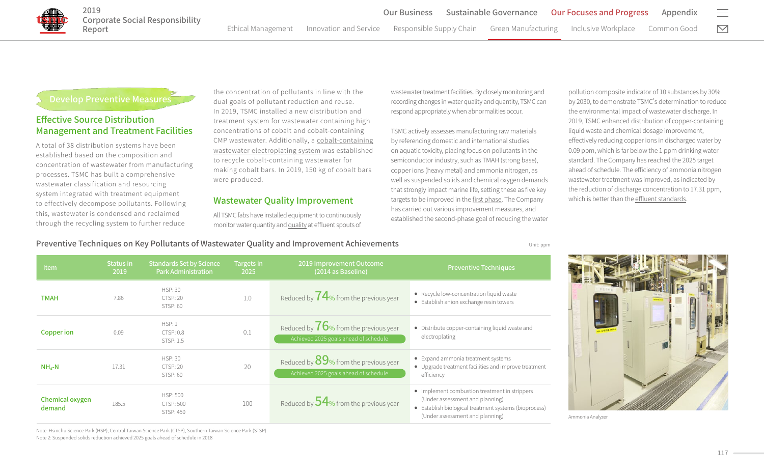# Develop Preventive Measures

2019

Report

# Effective Source Distribution Management and Treatment Facilities

A total of 38 distribution systems have been established based on the composition and concentration of wastewater from manufacturing processes. TSMC has built a comprehensive wastewater classification and resourcing system integrated with treatment equipment to effectively decompose pollutants. Following this, wastewater is condensed and reclaimed through the recycling system to further reduce

the concentration of pollutants in line with the dual goals of pollutant reduction and reuse. In 2019, TSMC installed a new distribution and treatment system for wastewater containing high concentrations of cobalt and cobalt-containing CMP wastewater. Additionally, a cobalt-containing wastewater electroplating system was established to recycle cobalt-containing wastewater for making cobalt bars. In 2019, 150 kg of cobalt bars were produced.

## Wastewater Quality Improvement

All TSMC fabs have installed equipment to continuously monitor water quantity and quality at effluent spouts of wastewater treatment facilities. By closely monitoring and recording changes in water quality and quantity, TSMC can respond appropriately when abnormalities occur.

TSMC actively assesses manufacturing raw materials by referencing domestic and international studies on aquatic toxicity, placing focus on pollutants in the semiconductor industry, such as TMAH (strong base), copper ions (heavy metal) and ammonia nitrogen, as well as suspended solids and chemical oxygen demands that strongly impact marine life, setting these as five key targets to be improved in the first phase. The Company has carried out various improvement measures, and established the second-phase goal of reducing the water pollution composite indicator of 10 substances by 30% by 2030, to demonstrate TSMC's determination to reduce the environmental impact of wastewater discharge. In 2019, TSMC enhanced distribution of copper-containing liquid waste and chemical dosage improvement, effectively reducing copper ions in discharged water by 0.09 ppm, which is far below the 1 ppm drinking water standard. The Company has reached the 2025 target ahead of schedule. The efficiency of ammonia nitrogen wastewater treatment was improved, as indicated by the reduction of discharge concentration to 17.31 ppm, which is better than the effluent standards.

Preventive Techniques on Key Pollutants of Wastewater Quality and Improvement Achievements

| Unit: ppm |  |
|-----------|--|
|           |  |

| <b>Item</b>               | Status in<br>2019 | <b>Standards Set by Science</b><br><b>Park Administration</b> | <b>Targets in</b><br>2025 | 2019 Improvement Outcome<br>(2014 as Baseline)                                    | <b>Preventive Techniques</b>                                                                                                                                                 |
|---------------------------|-------------------|---------------------------------------------------------------|---------------------------|-----------------------------------------------------------------------------------|------------------------------------------------------------------------------------------------------------------------------------------------------------------------------|
| <b>TMAH</b>               | 7.86              | <b>HSP: 30</b><br><b>CTSP: 20</b><br>STSP: 60                 | 1.0                       | Reduced by $74$ % from the previous year                                          | • Recycle low-concentration liquid waste<br>• Establish anion exchange resin towers                                                                                          |
| <b>Copper</b> ion         | 0.09              | HSP:1<br>CTSP: 0.8<br>STSP: 1.5                               | 0.1                       | Reduced by $76$ % from the previous year<br>Achieved 2025 goals ahead of schedule | • Distribute copper-containing liquid waste and<br>electroplating                                                                                                            |
| $NH4-N$                   | 17.31             | <b>HSP: 30</b><br><b>CTSP: 20</b><br><b>STSP: 60</b>          | 20                        | Reduced by $89%$ from the previous year<br>Achieved 2025 goals ahead of schedule  | • Expand ammonia treatment systems<br>• Upgrade treatment facilities and improve treatment<br>efficiency                                                                     |
| Chemical oxygen<br>demand | 185.5             | <b>HSP: 500</b><br><b>CTSP: 500</b><br>STSP: 450              | 100                       | Reduced by $54$ % from the previous year                                          | • Implement combustion treatment in strippers<br>(Under assessment and planning)<br>• Establish biological treatment systems (bioprocess)<br>(Under assessment and planning) |



Ammonia Analyzer

Note: Hsinchu Science Park (HSP), Central Taiwan Science Park (CTSP), Southern Taiwan Science Park (STSP) Note 2: Suspended solids reduction achieved 2025 goals ahead of schedule in 2018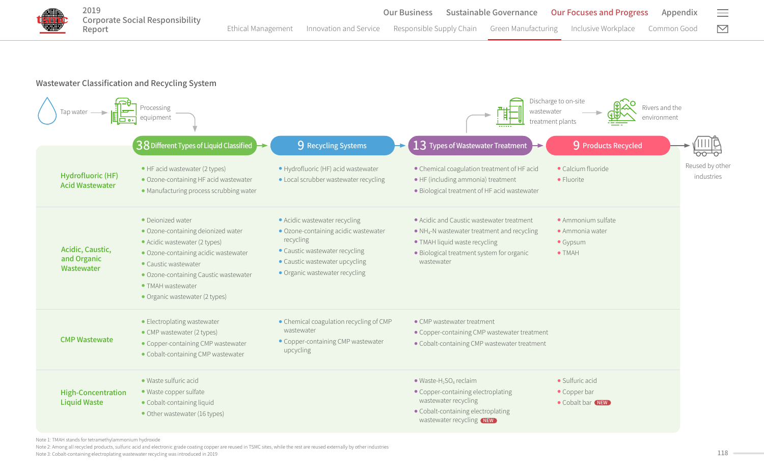

### Wastewater Classification and Recycling System



Note 1: TMAH stands for tetramethylammonium hydroxide

Note 2: Among all recycled products, sulfuric acid and electronic grade coating copper are reused in TSMC sites, while the rest are reused externally by other industries

Note 3: Cobalt-containing electroplating wastewater recycling was introduced in 2019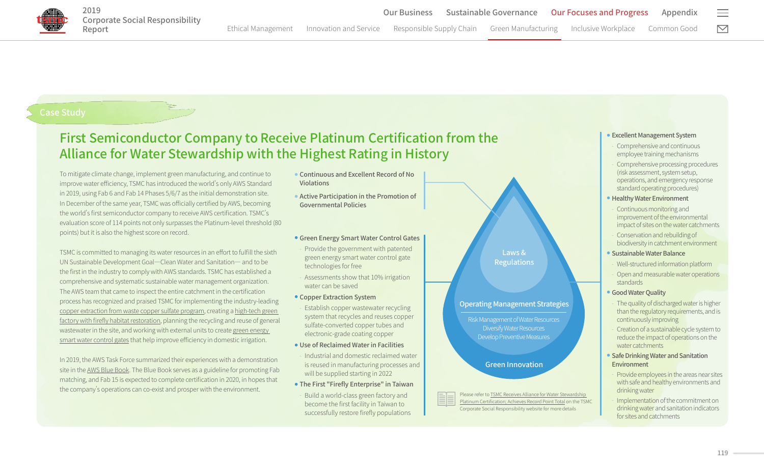

# First Semiconductor Company to Receive Platinum Certification from the Alliance for Water Stewardship with the Highest Rating in History

To mitigate climate change, implement green manufacturing, and continue to improve water efficiency. TSMC has introduced the world's only AWS Standard in 2019, using Fab 6 and Fab 14 Phases 5/6/7 as the initial demonstration site. In December of the same year, TSMC was officially certified by AWS, becoming the world's first semiconductor company to receive AWS certification. TSMC's evaluation score of 114 points not only surpasses the Platinum-level threshold (80 points) but it is also the highest score on record.

TSMC is committed to managing its water resources in an effort to fulfill the sixth UN Sustainable Development Goal―Clean Water and Sanitation― and to be the first in the industry to comply with AWS standards. TSMC has established a comprehensive and systematic sustainable water management organization. The AWS team that came to inspect the entire catchment in the certification process has recognized and praised TSMC for implementing the industry-leading [copper extraction from waste copper sulfate program,](https://www.tsmc.com/csr/en/update/greenManufacturing/caseStudy/8/index.html) creating a [high-tech green](https://www.tsmc.com/csr/en/update/greenManufacturing/caseStudy/15/index.html)  [factory with firefly habitat restoration](https://www.tsmc.com/csr/en/update/greenManufacturing/caseStudy/15/index.html), planning the recycling and reuse of general wastewater in the site, and working with external units to create [green energy](https://www.tsmc.com/csr/en/update/greenManufacturing/caseStudy/16/index.html)  [smart water control gates](https://www.tsmc.com/csr/en/update/greenManufacturing/caseStudy/16/index.html) that help improve efficiency in domestic irrigation.

In 2019, the AWS Task Force summarized their experiences with a demonstration site in the AWS Blue Book. The Blue Book serves as a guideline for promoting Fab matching, and Fab 15 is expected to complete certification in 2020, in hopes that the company's operations can co-exist and prosper with the environment.<br>Please refer to TSMC Receives Alliance for Water Stewardship

- Continuous and Excellent Record of No Violations
- Active Participation in the Promotion of Governmental Policies

#### **• Green Energy Smart Water Control Gates**

- ‒ Provide the government with patented green energy smart water control gate technologies for free
- ‒ Assessments show that 10% irrigation water can be saved
- Copper Extraction System
- ‒ Establish copper wastewater recycling system that recycles and reuses copper sulfate-converted copper tubes and electronic-grade coating copper
- Use of Reclaimed Water in Facilities
- ‒ Industrial and domestic reclaimed water is reused in manufacturing processes and will be supplied starting in 2022
- The First "Firefly Enterprise" in Taiwan
- ‒ Build a world-class green factory and become the first facility in Taiwan to successfully restore firefly populations

Laws & **Regulations** 

#### Operating Management Strategies

Risk Management of Water Resources Diversify Water Resources Develop Preventive Measures

Green Innovation

[Platinum Certification; Achieves Record Point Total](https://www.tsmc.com/csr/en/update/greenManufacturing/caseStudy/25/index.html) on the TSMC Corporate Social Responsibility website for more details

#### ● Excellent Management System

- ‒ Comprehensive and continuous employee training mechanisms
- ‒ Comprehensive processing procedures (risk assessment, system setup, operations, and emergency response standard operating procedures)
- Healthy Water Environment
- ‒ Continuous monitoring and improvement of the environmental impact of sites on the water catchments
- ‒ Conservation and rebuilding of biodiversity in catchment environment
- Sustainable Water Balance
- ‒ Well-structured information platform
- Open and measurable water operations standards
- Good Water Quality
- The quality of discharged water is higher than the regulatory requirements, and is continuously improving
- ‒ Creation of a sustainable cycle system to reduce the impact of operations on the water catchments
- Safe Drinking Water and Sanitation Environment
- ‒ Provide employees in the areas near sites with safe and healthy environments and drinking water
- ‒ Implementation of the commitment on drinking water and sanitation indicators for sites and catchments